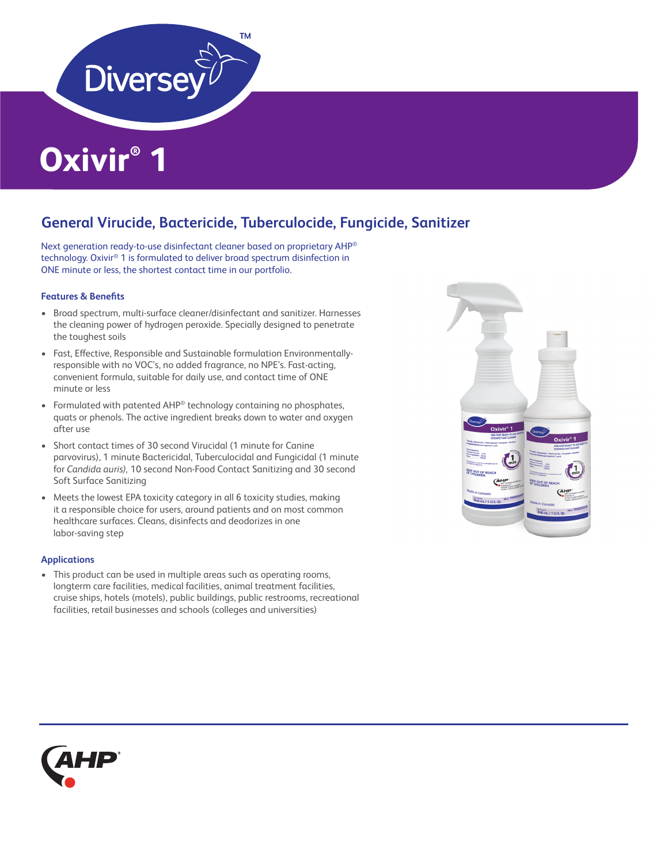

# **Oxivir® 1**

## **General Virucide, Bactericide, Tuberculocide, Fungicide, Sanitizer**

Next generation ready-to-use disinfectant cleaner based on proprietary AHP® technology. Oxivir® 1 is formulated to deliver broad spectrum disinfection in ONE minute or less, the shortest contact time in our portfolio.

## **Features & Benefits**

- Broad spectrum, multi-surface cleaner/disinfectant and sanitizer. Harnesses the cleaning power of hydrogen peroxide. Specially designed to penetrate the toughest soils
- Fast, Effective, Responsible and Sustainable formulation Environmentallyresponsible with no VOC's, no added fragrance, no NPE's. Fast-acting, convenient formula, suitable for daily use, and contact time of ONE minute or less
- Formulated with patented AHP<sup>®</sup> technology containing no phosphates, quats or phenols. The active ingredient breaks down to water and oxygen after use
- Short contact times of 30 second Virucidal (1 minute for Canine parvovirus), 1 minute Bactericidal, Tuberculocidal and Fungicidal (1 minute for *Candida auris),* 10 second Non-Food Contact Sanitizing and 30 second Soft Surface Sanitizing
- Meets the lowest EPA toxicity category in all 6 toxicity studies, making it a responsible choice for users, around patients and on most common healthcare surfaces. Cleans, disinfects and deodorizes in one labor-saving step

#### **Applications**

• This product can be used in multiple areas such as operating rooms, longterm care facilities, medical facilities, animal treatment facilities, cruise ships, hotels (motels), public buildings, public restrooms, recreational facilities, retail businesses and schools (colleges and universities)